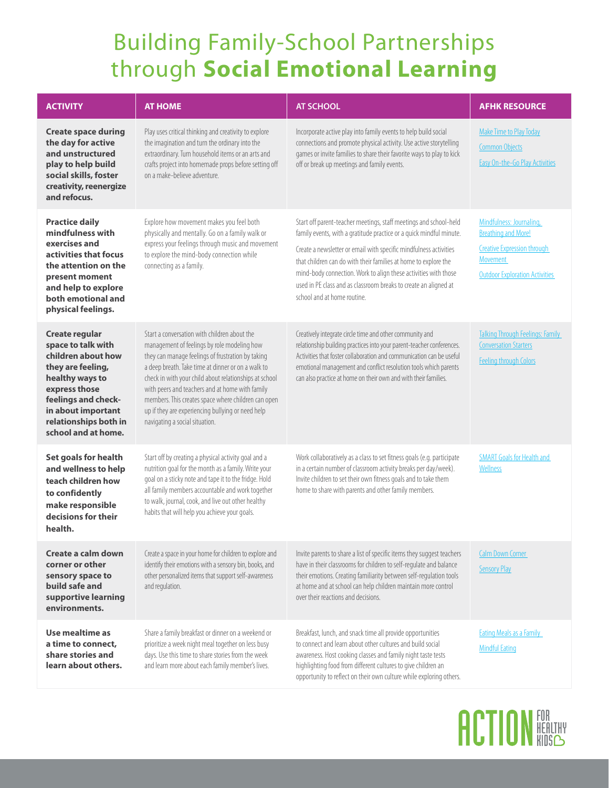## Building Family-School Partnerships through **Social Emotional Learning**

| <b>ACTIVITY</b>                                                                                                                                                                                                         | <b>AT HOME</b>                                                                                                                                                                                                                                                                                                                                                                                                                                                    | <b>AT SCHOOL</b>                                                                                                                                                                                                                                                                                                                                                                                                                                       | <b>AFHK RESOURCE</b>                                                                                                                              |
|-------------------------------------------------------------------------------------------------------------------------------------------------------------------------------------------------------------------------|-------------------------------------------------------------------------------------------------------------------------------------------------------------------------------------------------------------------------------------------------------------------------------------------------------------------------------------------------------------------------------------------------------------------------------------------------------------------|--------------------------------------------------------------------------------------------------------------------------------------------------------------------------------------------------------------------------------------------------------------------------------------------------------------------------------------------------------------------------------------------------------------------------------------------------------|---------------------------------------------------------------------------------------------------------------------------------------------------|
| <b>Create space during</b><br>the day for active<br>and unstructured<br>play to help build<br>social skills, foster<br>creativity, reenergize<br>and refocus.                                                           | Play uses critical thinking and creativity to explore<br>the imagination and turn the ordinary into the<br>extraordinary. Turn household items or an arts and<br>crafts project into homemade props before setting off<br>on a make-believe adventure.                                                                                                                                                                                                            | Incorporate active play into family events to help build social<br>connections and promote physical activity. Use active storytelling<br>games or invite families to share their favorite ways to play to kick<br>off or break up meetings and family events.                                                                                                                                                                                          | <b>Make Time to Play Today</b><br><b>Common Objects</b><br>Easy On-the-Go Play Activities                                                         |
| <b>Practice daily</b><br>mindfulness with<br>exercises and<br>activities that focus<br>the attention on the<br>present moment<br>and help to explore<br>both emotional and<br>physical feelings.                        | Explore how movement makes you feel both<br>physically and mentally. Go on a family walk or<br>express your feelings through music and movement<br>to explore the mind-body connection while<br>connecting as a family.                                                                                                                                                                                                                                           | Start off parent-teacher meetings, staff meetings and school-held<br>family events, with a gratitude practice or a quick mindful minute.<br>Create a newsletter or email with specific mindfulness activities<br>that children can do with their families at home to explore the<br>mind-body connection. Work to align these activities with those<br>used in PE class and as classroom breaks to create an aligned at<br>school and at home routine. | Mindfulness: Journaling,<br><b>Breathing and More!</b><br><b>Creative Expression through</b><br>Movement<br><b>Outdoor Exploration Activities</b> |
| <b>Create regular</b><br>space to talk with<br>children about how<br>they are feeling,<br>healthy ways to<br>express those<br>feelings and check-<br>in about important<br>relationships both in<br>school and at home. | Start a conversation with children about the<br>management of feelings by role modeling how<br>they can manage feelings of frustration by taking<br>a deep breath. Take time at dinner or on a walk to<br>check in with your child about relationships at school<br>with peers and teachers and at home with family<br>members. This creates space where children can open<br>up if they are experiencing bullying or need help<br>navigating a social situation. | Creatively integrate circle time and other community and<br>relationship building practices into your parent-teacher conferences.<br>Activities that foster collaboration and communication can be useful<br>emotional management and conflict resolution tools which parents<br>can also practice at home on their own and with their families.                                                                                                       | <b>Talking Through Feelings: Family</b><br><b>Conversation Starters</b><br><b>Feeling through Colors</b>                                          |
| Set goals for health<br>and wellness to help<br>teach children how<br>to confidently<br>make responsible<br>decisions for their<br>health.                                                                              | Start off by creating a physical activity goal and a<br>nutrition goal for the month as a family. Write your<br>goal on a sticky note and tape it to the fridge. Hold<br>all family members accountable and work together<br>to walk, journal, cook, and live out other healthy<br>habits that will help you achieve your goals.                                                                                                                                  | Work collaboratively as a class to set fitness goals (e.g. participate<br>in a certain number of classroom activity breaks per day/week).<br>Invite children to set their own fitness goals and to take them<br>home to share with parents and other family members.                                                                                                                                                                                   | <b>SMART Goals for Health and</b><br>Wellness                                                                                                     |
| Create a calm down<br>corner or other<br>sensory space to<br>build safe and<br>supportive learning<br>environments.                                                                                                     | Create a space in your home for children to explore and<br>identify their emotions with a sensory bin, books, and<br>other personalized items that support self-awareness<br>and regulation.                                                                                                                                                                                                                                                                      | Invite parents to share a list of specific items they suggest teachers<br>have in their classrooms for children to self-regulate and balance<br>their emotions. Creating familiarity between self-regulation tools<br>at home and at school can help children maintain more control<br>over their reactions and decisions.                                                                                                                             | <b>Calm Down Corner</b><br><b>Sensory Play</b>                                                                                                    |
| Use mealtime as<br>a time to connect,<br>share stories and<br>learn about others.                                                                                                                                       | Share a family breakfast or dinner on a weekend or<br>prioritize a week night meal together on less busy<br>days. Use this time to share stories from the week<br>and learn more about each family member's lives.                                                                                                                                                                                                                                                | Breakfast, lunch, and snack time all provide opportunities<br>to connect and learn about other cultures and build social<br>awareness. Host cooking classes and family night taste tests<br>highlighting food from different cultures to give children an<br>opportunity to reflect on their own culture while exploring others.                                                                                                                       | <b>Eating Meals as a Family</b><br><b>Mindful Eating</b>                                                                                          |